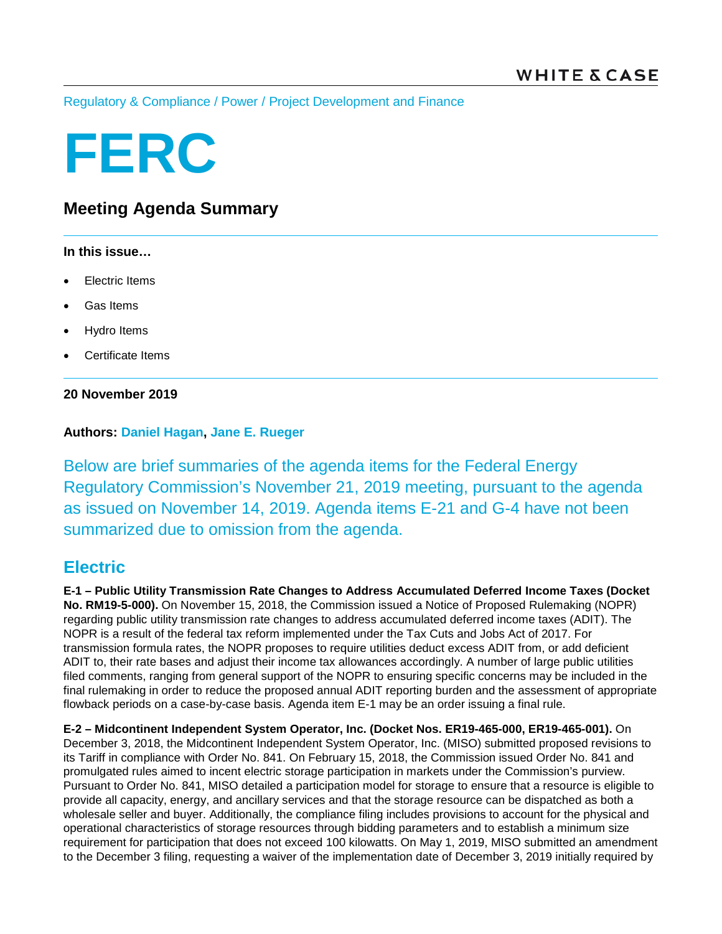[Regulatory & Compliance](https://www.whitecase.com/law/practices/regulatory-compliance) / [Power](https://www.whitecase.com/law/industries/power) / [Project Development and Finance](https://www.whitecase.com/law/practices/project-development-and-finance)

# **FERC**

# **Meeting Agenda Summary**

### **In this issue…**

- **Electric Items**
- Gas Items
- Hydro Items
- Certificate Items

## **20 November 2019**

## **Authors: [Daniel Hagan,](https://www.whitecase.com/people/daniel-hagan) [Jane E. Rueger](https://www.whitecase.com/people/jane-rueger)**

Below are brief summaries of the agenda items for the Federal Energy Regulatory Commission's November 21, 2019 meeting, pursuant to the agenda as issued on November 14, 2019. Agenda items E-21 and G-4 have not been summarized due to omission from the agenda.

## **Electric**

**E-1 – Public Utility Transmission Rate Changes to Address Accumulated Deferred Income Taxes (Docket No. RM19-5-000).** On November 15, 2018, the Commission issued a Notice of Proposed Rulemaking (NOPR) regarding public utility transmission rate changes to address accumulated deferred income taxes (ADIT). The NOPR is a result of the federal tax reform implemented under the Tax Cuts and Jobs Act of 2017. For transmission formula rates, the NOPR proposes to require utilities deduct excess ADIT from, or add deficient ADIT to, their rate bases and adjust their income tax allowances accordingly. A number of large public utilities filed comments, ranging from general support of the NOPR to ensuring specific concerns may be included in the final rulemaking in order to reduce the proposed annual ADIT reporting burden and the assessment of appropriate flowback periods on a case-by-case basis. Agenda item E-1 may be an order issuing a final rule.

**E-2 – Midcontinent Independent System Operator, Inc. (Docket Nos. ER19-465-000, ER19-465-001).** On December 3, 2018, the Midcontinent Independent System Operator, Inc. (MISO) submitted proposed revisions to its Tariff in compliance with Order No. 841. On February 15, 2018, the Commission issued Order No. 841 and promulgated rules aimed to incent electric storage participation in markets under the Commission's purview. Pursuant to Order No. 841, MISO detailed a participation model for storage to ensure that a resource is eligible to provide all capacity, energy, and ancillary services and that the storage resource can be dispatched as both a wholesale seller and buyer. Additionally, the compliance filing includes provisions to account for the physical and operational characteristics of storage resources through bidding parameters and to establish a minimum size requirement for participation that does not exceed 100 kilowatts. On May 1, 2019, MISO submitted an amendment to the December 3 filing, requesting a waiver of the implementation date of December 3, 2019 initially required by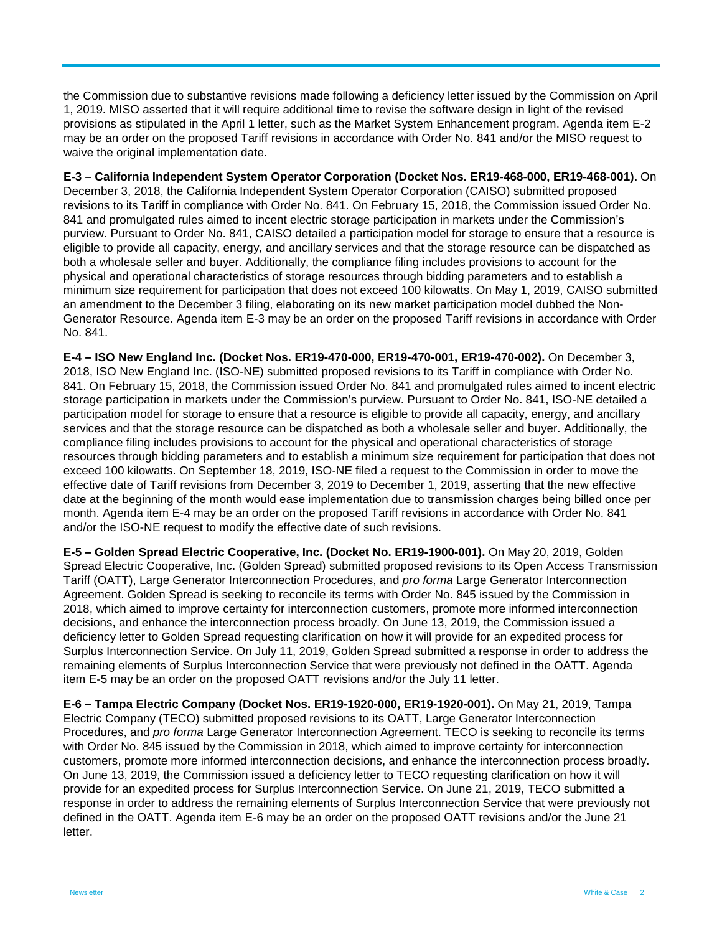the Commission due to substantive revisions made following a deficiency letter issued by the Commission on April 1, 2019. MISO asserted that it will require additional time to revise the software design in light of the revised provisions as stipulated in the April 1 letter, such as the Market System Enhancement program. Agenda item E-2 may be an order on the proposed Tariff revisions in accordance with Order No. 841 and/or the MISO request to waive the original implementation date.

**E-3 – California Independent System Operator Corporation (Docket Nos. ER19-468-000, ER19-468-001).** On December 3, 2018, the California Independent System Operator Corporation (CAISO) submitted proposed revisions to its Tariff in compliance with Order No. 841. On February 15, 2018, the Commission issued Order No. 841 and promulgated rules aimed to incent electric storage participation in markets under the Commission's purview. Pursuant to Order No. 841, CAISO detailed a participation model for storage to ensure that a resource is eligible to provide all capacity, energy, and ancillary services and that the storage resource can be dispatched as both a wholesale seller and buyer. Additionally, the compliance filing includes provisions to account for the physical and operational characteristics of storage resources through bidding parameters and to establish a minimum size requirement for participation that does not exceed 100 kilowatts. On May 1, 2019, CAISO submitted an amendment to the December 3 filing, elaborating on its new market participation model dubbed the Non-Generator Resource. Agenda item E-3 may be an order on the proposed Tariff revisions in accordance with Order No. 841.

**E-4 – ISO New England Inc. (Docket Nos. ER19-470-000, ER19-470-001, ER19-470-002).** On December 3, 2018, ISO New England Inc. (ISO-NE) submitted proposed revisions to its Tariff in compliance with Order No. 841. On February 15, 2018, the Commission issued Order No. 841 and promulgated rules aimed to incent electric storage participation in markets under the Commission's purview. Pursuant to Order No. 841, ISO-NE detailed a participation model for storage to ensure that a resource is eligible to provide all capacity, energy, and ancillary services and that the storage resource can be dispatched as both a wholesale seller and buyer. Additionally, the compliance filing includes provisions to account for the physical and operational characteristics of storage resources through bidding parameters and to establish a minimum size requirement for participation that does not exceed 100 kilowatts. On September 18, 2019, ISO-NE filed a request to the Commission in order to move the effective date of Tariff revisions from December 3, 2019 to December 1, 2019, asserting that the new effective date at the beginning of the month would ease implementation due to transmission charges being billed once per month. Agenda item E-4 may be an order on the proposed Tariff revisions in accordance with Order No. 841 and/or the ISO-NE request to modify the effective date of such revisions.

**E-5 – Golden Spread Electric Cooperative, Inc. (Docket No. ER19-1900-001).** On May 20, 2019, Golden Spread Electric Cooperative, Inc. (Golden Spread) submitted proposed revisions to its Open Access Transmission Tariff (OATT), Large Generator Interconnection Procedures, and *pro forma* Large Generator Interconnection Agreement. Golden Spread is seeking to reconcile its terms with Order No. 845 issued by the Commission in 2018, which aimed to improve certainty for interconnection customers, promote more informed interconnection decisions, and enhance the interconnection process broadly. On June 13, 2019, the Commission issued a deficiency letter to Golden Spread requesting clarification on how it will provide for an expedited process for Surplus Interconnection Service. On July 11, 2019, Golden Spread submitted a response in order to address the remaining elements of Surplus Interconnection Service that were previously not defined in the OATT. Agenda item E-5 may be an order on the proposed OATT revisions and/or the July 11 letter.

**E-6 – Tampa Electric Company (Docket Nos. ER19-1920-000, ER19-1920-001).** On May 21, 2019, Tampa Electric Company (TECO) submitted proposed revisions to its OATT, Large Generator Interconnection Procedures, and *pro forma* Large Generator Interconnection Agreement. TECO is seeking to reconcile its terms with Order No. 845 issued by the Commission in 2018, which aimed to improve certainty for interconnection customers, promote more informed interconnection decisions, and enhance the interconnection process broadly. On June 13, 2019, the Commission issued a deficiency letter to TECO requesting clarification on how it will provide for an expedited process for Surplus Interconnection Service. On June 21, 2019, TECO submitted a response in order to address the remaining elements of Surplus Interconnection Service that were previously not defined in the OATT. Agenda item E-6 may be an order on the proposed OATT revisions and/or the June 21 letter.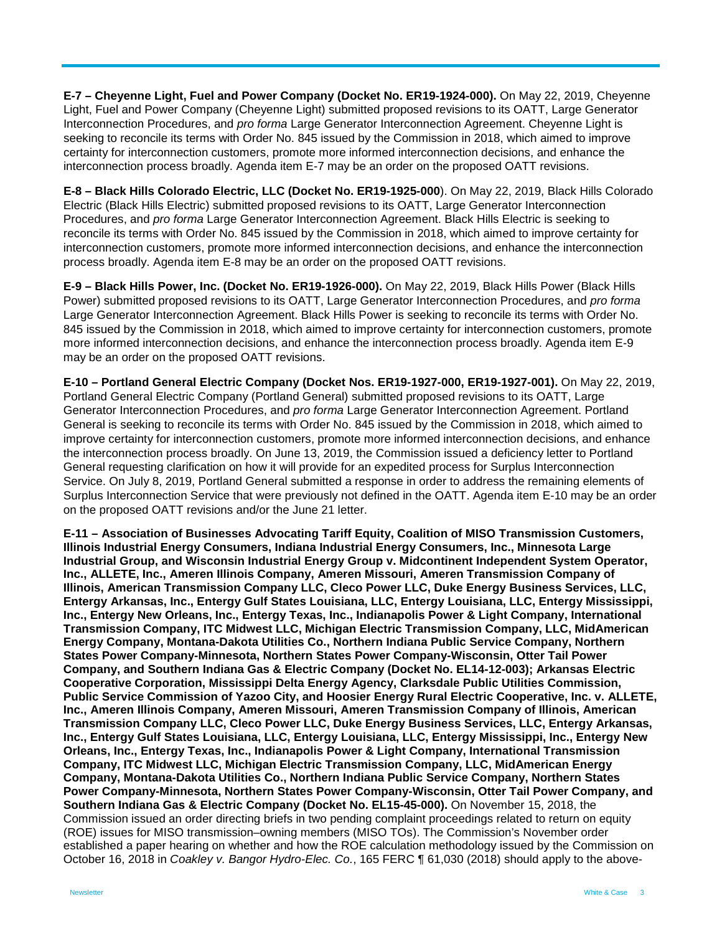**E-7 – Cheyenne Light, Fuel and Power Company (Docket No. ER19-1924-000).** On May 22, 2019, Cheyenne Light, Fuel and Power Company (Cheyenne Light) submitted proposed revisions to its OATT, Large Generator Interconnection Procedures, and *pro forma* Large Generator Interconnection Agreement. Cheyenne Light is seeking to reconcile its terms with Order No. 845 issued by the Commission in 2018, which aimed to improve certainty for interconnection customers, promote more informed interconnection decisions, and enhance the interconnection process broadly. Agenda item E-7 may be an order on the proposed OATT revisions.

**E-8 – Black Hills Colorado Electric, LLC (Docket No. ER19-1925-000**). On May 22, 2019, Black Hills Colorado Electric (Black Hills Electric) submitted proposed revisions to its OATT, Large Generator Interconnection Procedures, and *pro forma* Large Generator Interconnection Agreement. Black Hills Electric is seeking to reconcile its terms with Order No. 845 issued by the Commission in 2018, which aimed to improve certainty for interconnection customers, promote more informed interconnection decisions, and enhance the interconnection process broadly. Agenda item E-8 may be an order on the proposed OATT revisions.

**E-9 – Black Hills Power, Inc. (Docket No. ER19-1926-000).** On May 22, 2019, Black Hills Power (Black Hills Power) submitted proposed revisions to its OATT, Large Generator Interconnection Procedures, and *pro forma* Large Generator Interconnection Agreement. Black Hills Power is seeking to reconcile its terms with Order No. 845 issued by the Commission in 2018, which aimed to improve certainty for interconnection customers, promote more informed interconnection decisions, and enhance the interconnection process broadly. Agenda item E-9 may be an order on the proposed OATT revisions.

**E-10 – Portland General Electric Company (Docket Nos. ER19-1927-000, ER19-1927-001).** On May 22, 2019, Portland General Electric Company (Portland General) submitted proposed revisions to its OATT, Large Generator Interconnection Procedures, and *pro forma* Large Generator Interconnection Agreement. Portland General is seeking to reconcile its terms with Order No. 845 issued by the Commission in 2018, which aimed to improve certainty for interconnection customers, promote more informed interconnection decisions, and enhance the interconnection process broadly. On June 13, 2019, the Commission issued a deficiency letter to Portland General requesting clarification on how it will provide for an expedited process for Surplus Interconnection Service. On July 8, 2019, Portland General submitted a response in order to address the remaining elements of Surplus Interconnection Service that were previously not defined in the OATT. Agenda item E-10 may be an order on the proposed OATT revisions and/or the June 21 letter.

**E-11 – Association of Businesses Advocating Tariff Equity, Coalition of MISO Transmission Customers, Illinois Industrial Energy Consumers, Indiana Industrial Energy Consumers, Inc., Minnesota Large Industrial Group, and Wisconsin Industrial Energy Group v. Midcontinent Independent System Operator, Inc., ALLETE, Inc., Ameren Illinois Company, Ameren Missouri, Ameren Transmission Company of Illinois, American Transmission Company LLC, Cleco Power LLC, Duke Energy Business Services, LLC, Entergy Arkansas, Inc., Entergy Gulf States Louisiana, LLC, Entergy Louisiana, LLC, Entergy Mississippi, Inc., Entergy New Orleans, Inc., Entergy Texas, Inc., Indianapolis Power & Light Company, International Transmission Company, ITC Midwest LLC, Michigan Electric Transmission Company, LLC, MidAmerican Energy Company, Montana-Dakota Utilities Co., Northern Indiana Public Service Company, Northern States Power Company-Minnesota, Northern States Power Company-Wisconsin, Otter Tail Power Company, and Southern Indiana Gas & Electric Company (Docket No. EL14-12-003); Arkansas Electric Cooperative Corporation, Mississippi Delta Energy Agency, Clarksdale Public Utilities Commission, Public Service Commission of Yazoo City, and Hoosier Energy Rural Electric Cooperative, Inc. v. ALLETE, Inc., Ameren Illinois Company, Ameren Missouri, Ameren Transmission Company of Illinois, American Transmission Company LLC, Cleco Power LLC, Duke Energy Business Services, LLC, Entergy Arkansas, Inc., Entergy Gulf States Louisiana, LLC, Entergy Louisiana, LLC, Entergy Mississippi, Inc., Entergy New Orleans, Inc., Entergy Texas, Inc., Indianapolis Power & Light Company, International Transmission Company, ITC Midwest LLC, Michigan Electric Transmission Company, LLC, MidAmerican Energy Company, Montana-Dakota Utilities Co., Northern Indiana Public Service Company, Northern States Power Company-Minnesota, Northern States Power Company-Wisconsin, Otter Tail Power Company, and Southern Indiana Gas & Electric Company (Docket No. EL15-45-000).** On November 15, 2018, the Commission issued an order directing briefs in two pending complaint proceedings related to return on equity (ROE) issues for MISO transmission–owning members (MISO TOs). The Commission's November order established a paper hearing on whether and how the ROE calculation methodology issued by the Commission on October 16, 2018 in *Coakley v. Bangor Hydro-Elec. Co.*, 165 FERC ¶ 61,030 (2018) should apply to the above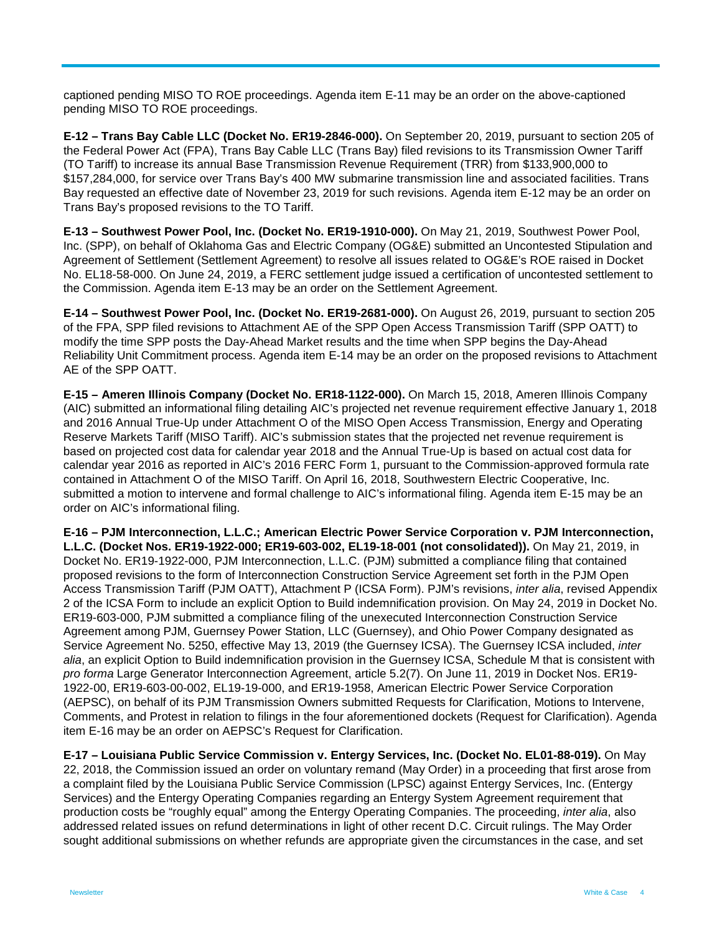captioned pending MISO TO ROE proceedings. Agenda item E-11 may be an order on the above-captioned pending MISO TO ROE proceedings.

**E-12 – Trans Bay Cable LLC (Docket No. ER19-2846-000).** On September 20, 2019, pursuant to section 205 of the Federal Power Act (FPA), Trans Bay Cable LLC (Trans Bay) filed revisions to its Transmission Owner Tariff (TO Tariff) to increase its annual Base Transmission Revenue Requirement (TRR) from \$133,900,000 to \$157,284,000, for service over Trans Bay's 400 MW submarine transmission line and associated facilities. Trans Bay requested an effective date of November 23, 2019 for such revisions. Agenda item E-12 may be an order on Trans Bay's proposed revisions to the TO Tariff.

**E-13 – Southwest Power Pool, Inc. (Docket No. ER19-1910-000).** On May 21, 2019, Southwest Power Pool, Inc. (SPP), on behalf of Oklahoma Gas and Electric Company (OG&E) submitted an Uncontested Stipulation and Agreement of Settlement (Settlement Agreement) to resolve all issues related to OG&E's ROE raised in Docket No. EL18-58-000. On June 24, 2019, a FERC settlement judge issued a certification of uncontested settlement to the Commission. Agenda item E-13 may be an order on the Settlement Agreement.

**E-14 – Southwest Power Pool, Inc. (Docket No. ER19-2681-000).** On August 26, 2019, pursuant to section 205 of the FPA, SPP filed revisions to Attachment AE of the SPP Open Access Transmission Tariff (SPP OATT) to modify the time SPP posts the Day-Ahead Market results and the time when SPP begins the Day-Ahead Reliability Unit Commitment process. Agenda item E-14 may be an order on the proposed revisions to Attachment AE of the SPP OATT.

**E-15 – Ameren Illinois Company (Docket No. ER18-1122-000).** On March 15, 2018, Ameren Illinois Company (AIC) submitted an informational filing detailing AIC's projected net revenue requirement effective January 1, 2018 and 2016 Annual True-Up under Attachment O of the MISO Open Access Transmission, Energy and Operating Reserve Markets Tariff (MISO Tariff). AIC's submission states that the projected net revenue requirement is based on projected cost data for calendar year 2018 and the Annual True-Up is based on actual cost data for calendar year 2016 as reported in AIC's 2016 FERC Form 1, pursuant to the Commission-approved formula rate contained in Attachment O of the MISO Tariff. On April 16, 2018, Southwestern Electric Cooperative, Inc. submitted a motion to intervene and formal challenge to AIC's informational filing. Agenda item E-15 may be an order on AIC's informational filing.

**E-16 – PJM Interconnection, L.L.C.; American Electric Power Service Corporation v. PJM Interconnection, L.L.C. (Docket Nos. ER19-1922-000; ER19-603-002, EL19-18-001 (not consolidated)).** On May 21, 2019, in Docket No. ER19-1922-000, PJM Interconnection, L.L.C. (PJM) submitted a compliance filing that contained proposed revisions to the form of Interconnection Construction Service Agreement set forth in the PJM Open Access Transmission Tariff (PJM OATT), Attachment P (ICSA Form). PJM's revisions, *inter alia*, revised Appendix 2 of the ICSA Form to include an explicit Option to Build indemnification provision. On May 24, 2019 in Docket No. ER19-603-000, PJM submitted a compliance filing of the unexecuted Interconnection Construction Service Agreement among PJM, Guernsey Power Station, LLC (Guernsey), and Ohio Power Company designated as Service Agreement No. 5250, effective May 13, 2019 (the Guernsey ICSA). The Guernsey ICSA included, *inter alia*, an explicit Option to Build indemnification provision in the Guernsey ICSA, Schedule M that is consistent with *pro forma* Large Generator Interconnection Agreement, article 5.2(7). On June 11, 2019 in Docket Nos. ER19- 1922-00, ER19-603-00-002, EL19-19-000, and ER19-1958, American Electric Power Service Corporation (AEPSC), on behalf of its PJM Transmission Owners submitted Requests for Clarification, Motions to Intervene, Comments, and Protest in relation to filings in the four aforementioned dockets (Request for Clarification). Agenda item E-16 may be an order on AEPSC's Request for Clarification.

**E-17 – Louisiana Public Service Commission v. Entergy Services, Inc. (Docket No. EL01-88-019).** On May 22, 2018, the Commission issued an order on voluntary remand (May Order) in a proceeding that first arose from a complaint filed by the Louisiana Public Service Commission (LPSC) against Entergy Services, Inc. (Entergy Services) and the Entergy Operating Companies regarding an Entergy System Agreement requirement that production costs be "roughly equal" among the Entergy Operating Companies. The proceeding, *inter alia*, also addressed related issues on refund determinations in light of other recent D.C. Circuit rulings. The May Order sought additional submissions on whether refunds are appropriate given the circumstances in the case, and set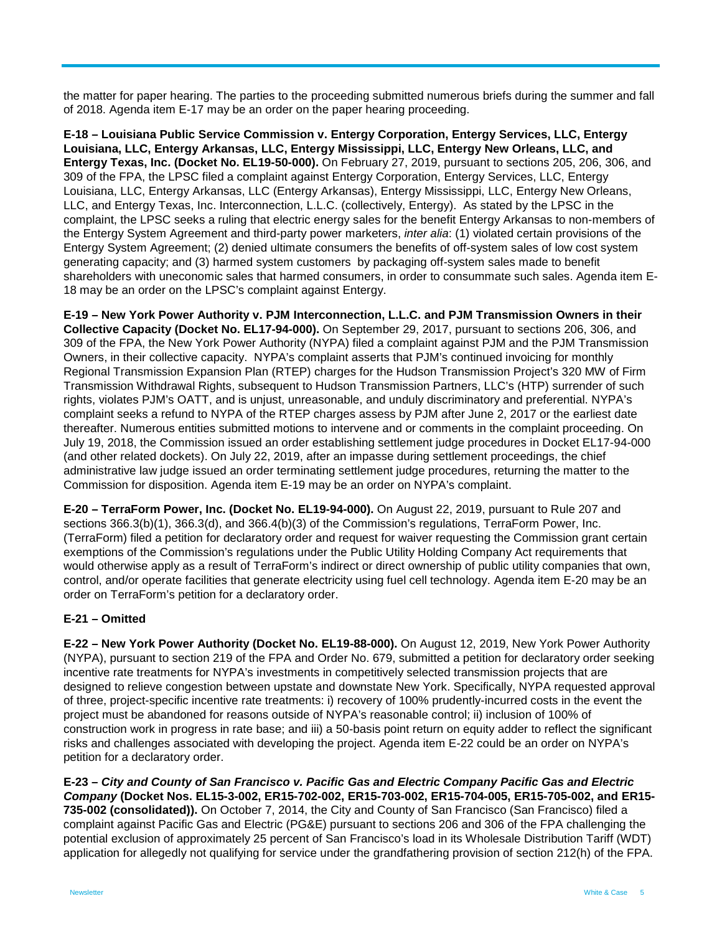the matter for paper hearing. The parties to the proceeding submitted numerous briefs during the summer and fall of 2018. Agenda item E-17 may be an order on the paper hearing proceeding.

**E-18 – Louisiana Public Service Commission v. Entergy Corporation, Entergy Services, LLC, Entergy Louisiana, LLC, Entergy Arkansas, LLC, Entergy Mississippi, LLC, Entergy New Orleans, LLC, and Entergy Texas, Inc. (Docket No. EL19-50-000).** On February 27, 2019, pursuant to sections 205, 206, 306, and 309 of the FPA, the LPSC filed a complaint against Entergy Corporation, Entergy Services, LLC, Entergy Louisiana, LLC, Entergy Arkansas, LLC (Entergy Arkansas), Entergy Mississippi, LLC, Entergy New Orleans, LLC, and Entergy Texas, Inc. Interconnection, L.L.C. (collectively, Entergy). As stated by the LPSC in the complaint, the LPSC seeks a ruling that electric energy sales for the benefit Entergy Arkansas to non-members of the Entergy System Agreement and third-party power marketers, *inter alia*: (1) violated certain provisions of the Entergy System Agreement; (2) denied ultimate consumers the benefits of off-system sales of low cost system generating capacity; and (3) harmed system customers by packaging off-system sales made to benefit shareholders with uneconomic sales that harmed consumers, in order to consummate such sales. Agenda item E-18 may be an order on the LPSC's complaint against Entergy.

**E-19 – New York Power Authority v. PJM Interconnection, L.L.C. and PJM Transmission Owners in their Collective Capacity (Docket No. EL17-94-000).** On September 29, 2017, pursuant to sections 206, 306, and 309 of the FPA, the New York Power Authority (NYPA) filed a complaint against PJM and the PJM Transmission Owners, in their collective capacity. NYPA's complaint asserts that PJM's continued invoicing for monthly Regional Transmission Expansion Plan (RTEP) charges for the Hudson Transmission Project's 320 MW of Firm Transmission Withdrawal Rights, subsequent to Hudson Transmission Partners, LLC's (HTP) surrender of such rights, violates PJM's OATT, and is unjust, unreasonable, and unduly discriminatory and preferential. NYPA's complaint seeks a refund to NYPA of the RTEP charges assess by PJM after June 2, 2017 or the earliest date thereafter. Numerous entities submitted motions to intervene and or comments in the complaint proceeding. On July 19, 2018, the Commission issued an order establishing settlement judge procedures in Docket EL17-94-000 (and other related dockets). On July 22, 2019, after an impasse during settlement proceedings, the chief administrative law judge issued an order terminating settlement judge procedures, returning the matter to the Commission for disposition. Agenda item E-19 may be an order on NYPA's complaint.

**E-20 – TerraForm Power, Inc. (Docket No. EL19-94-000).** On August 22, 2019, pursuant to Rule 207 and sections 366.3(b)(1), 366.3(d), and 366.4(b)(3) of the Commission's regulations, TerraForm Power, Inc. (TerraForm) filed a petition for declaratory order and request for waiver requesting the Commission grant certain exemptions of the Commission's regulations under the Public Utility Holding Company Act requirements that would otherwise apply as a result of TerraForm's indirect or direct ownership of public utility companies that own, control, and/or operate facilities that generate electricity using fuel cell technology. Agenda item E-20 may be an order on TerraForm's petition for a declaratory order.

#### **E-21 – Omitted**

**E-22 – New York Power Authority (Docket No. EL19-88-000).** On August 12, 2019, New York Power Authority (NYPA), pursuant to section 219 of the FPA and Order No. 679, submitted a petition for declaratory order seeking incentive rate treatments for NYPA's investments in competitively selected transmission projects that are designed to relieve congestion between upstate and downstate New York. Specifically, NYPA requested approval of three, project-specific incentive rate treatments: i) recovery of 100% prudently-incurred costs in the event the project must be abandoned for reasons outside of NYPA's reasonable control; ii) inclusion of 100% of construction work in progress in rate base; and iii) a 50-basis point return on equity adder to reflect the significant risks and challenges associated with developing the project. Agenda item E-22 could be an order on NYPA's petition for a declaratory order.

**E-23 –** *City and County of San Francisco v. Pacific Gas and Electric Company Pacific Gas and Electric Company* **(Docket Nos. EL15-3-002, ER15-702-002, ER15-703-002, ER15-704-005, ER15-705-002, and ER15- 735-002 (consolidated)).** On October 7, 2014, the City and County of San Francisco (San Francisco) filed a complaint against Pacific Gas and Electric (PG&E) pursuant to sections 206 and 306 of the FPA challenging the potential exclusion of approximately 25 percent of San Francisco's load in its Wholesale Distribution Tariff (WDT) application for allegedly not qualifying for service under the grandfathering provision of section 212(h) of the FPA.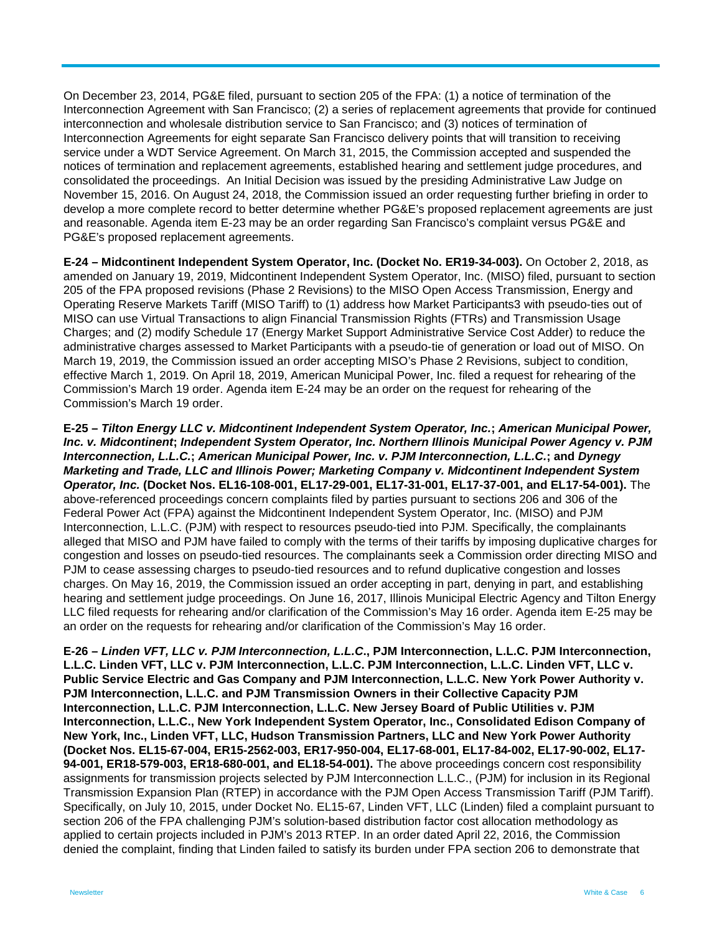On December 23, 2014, PG&E filed, pursuant to section 205 of the FPA: (1) a notice of termination of the Interconnection Agreement with San Francisco; (2) a series of replacement agreements that provide for continued interconnection and wholesale distribution service to San Francisco; and (3) notices of termination of Interconnection Agreements for eight separate San Francisco delivery points that will transition to receiving service under a WDT Service Agreement. On March 31, 2015, the Commission accepted and suspended the notices of termination and replacement agreements, established hearing and settlement judge procedures, and consolidated the proceedings. An Initial Decision was issued by the presiding Administrative Law Judge on November 15, 2016. On August 24, 2018, the Commission issued an order requesting further briefing in order to develop a more complete record to better determine whether PG&E's proposed replacement agreements are just and reasonable. Agenda item E-23 may be an order regarding San Francisco's complaint versus PG&E and PG&E's proposed replacement agreements.

**E-24 – Midcontinent Independent System Operator, Inc. (Docket No. ER19-34-003).** On October 2, 2018, as amended on January 19, 2019, Midcontinent Independent System Operator, Inc. (MISO) filed, pursuant to section 205 of the FPA proposed revisions (Phase 2 Revisions) to the MISO Open Access Transmission, Energy and Operating Reserve Markets Tariff (MISO Tariff) to (1) address how Market Participants3 with pseudo-ties out of MISO can use Virtual Transactions to align Financial Transmission Rights (FTRs) and Transmission Usage Charges; and (2) modify Schedule 17 (Energy Market Support Administrative Service Cost Adder) to reduce the administrative charges assessed to Market Participants with a pseudo-tie of generation or load out of MISO. On March 19, 2019, the Commission issued an order accepting MISO's Phase 2 Revisions, subject to condition, effective March 1, 2019. On April 18, 2019, American Municipal Power, Inc. filed a request for rehearing of the Commission's March 19 order. Agenda item E-24 may be an order on the request for rehearing of the Commission's March 19 order.

**E-25 –** *Tilton Energy LLC v. Midcontinent Independent System Operator, Inc.***;** *American Municipal Power, Inc. v. Midcontinent***;** *Independent System Operator, Inc. Northern Illinois Municipal Power Agency v. PJM Interconnection, L.L.C.***;** *American Municipal Power, Inc. v. PJM Interconnection, L.L.C.***; and** *Dynegy Marketing and Trade, LLC and Illinois Power; Marketing Company v. Midcontinent Independent System Operator, Inc.* **(Docket Nos. EL16-108-001, EL17-29-001, EL17-31-001, EL17-37-001, and EL17-54-001).** The above-referenced proceedings concern complaints filed by parties pursuant to sections 206 and 306 of the Federal Power Act (FPA) against the Midcontinent Independent System Operator, Inc. (MISO) and PJM Interconnection, L.L.C. (PJM) with respect to resources pseudo-tied into PJM. Specifically, the complainants alleged that MISO and PJM have failed to comply with the terms of their tariffs by imposing duplicative charges for congestion and losses on pseudo-tied resources. The complainants seek a Commission order directing MISO and PJM to cease assessing charges to pseudo-tied resources and to refund duplicative congestion and losses charges. On May 16, 2019, the Commission issued an order accepting in part, denying in part, and establishing hearing and settlement judge proceedings. On June 16, 2017, Illinois Municipal Electric Agency and Tilton Energy LLC filed requests for rehearing and/or clarification of the Commission's May 16 order. Agenda item E-25 may be an order on the requests for rehearing and/or clarification of the Commission's May 16 order.

**E-26 –** *Linden VFT, LLC v. PJM Interconnection, L.L.C***., PJM Interconnection, L.L.C. PJM Interconnection, L.L.C. Linden VFT, LLC v. PJM Interconnection, L.L.C. PJM Interconnection, L.L.C. Linden VFT, LLC v. Public Service Electric and Gas Company and PJM Interconnection, L.L.C. New York Power Authority v. PJM Interconnection, L.L.C. and PJM Transmission Owners in their Collective Capacity PJM Interconnection, L.L.C. PJM Interconnection, L.L.C. New Jersey Board of Public Utilities v. PJM Interconnection, L.L.C., New York Independent System Operator, Inc., Consolidated Edison Company of New York, Inc., Linden VFT, LLC, Hudson Transmission Partners, LLC and New York Power Authority (Docket Nos. EL15-67-004, ER15-2562-003, ER17-950-004, EL17-68-001, EL17-84-002, EL17-90-002, EL17- 94-001, ER18-579-003, ER18-680-001, and EL18-54-001).** The above proceedings concern cost responsibility assignments for transmission projects selected by PJM Interconnection L.L.C., (PJM) for inclusion in its Regional Transmission Expansion Plan (RTEP) in accordance with the PJM Open Access Transmission Tariff (PJM Tariff). Specifically, on July 10, 2015, under Docket No. EL15-67, Linden VFT, LLC (Linden) filed a complaint pursuant to section 206 of the FPA challenging PJM's solution-based distribution factor cost allocation methodology as applied to certain projects included in PJM's 2013 RTEP. In an order dated April 22, 2016, the Commission denied the complaint, finding that Linden failed to satisfy its burden under FPA section 206 to demonstrate that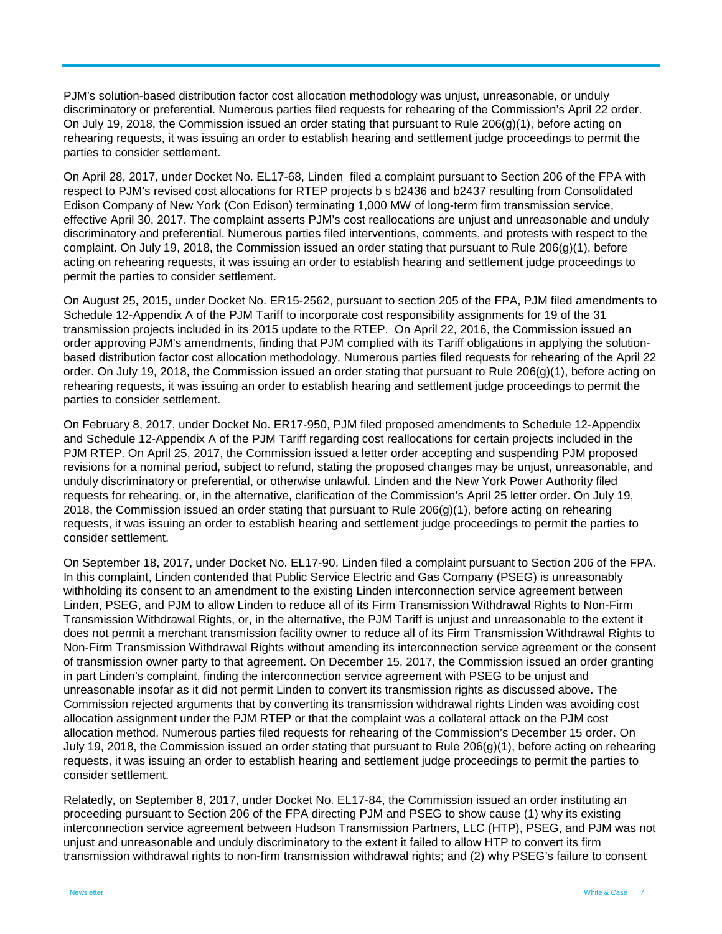PJM's solution-based distribution factor cost allocation methodology was unjust, unreasonable, or unduly discriminatory or preferential. Numerous parties filed requests for rehearing of the Commission's April 22 order. On July 19, 2018, the Commission issued an order stating that pursuant to Rule  $206(q)(1)$ , before acting on rehearing requests, it was issuing an order to establish hearing and settlement judge proceedings to permit the parties to consider settlement.

On April 28, 2017, under Docket No. EL17-68, Linden filed a complaint pursuant to Section 206 of the FPA with respect to PJM's revised cost allocations for RTEP projects b s b2436 and b2437 resulting from Consolidated Edison Company of New York (Con Edison) terminating 1,000 MW of long-term firm transmission service, effective April 30, 2017. The complaint asserts PJM's cost reallocations are unjust and unreasonable and unduly discriminatory and preferential. Numerous parties filed interventions, comments, and protests with respect to the complaint. On July 19, 2018, the Commission issued an order stating that pursuant to Rule 206(g)(1), before acting on rehearing requests, it was issuing an order to establish hearing and settlement judge proceedings to permit the parties to consider settlement.

On August 25, 2015, under Docket No. ER15-2562, pursuant to section 205 of the FPA, PJM filed amendments to Schedule 12-Appendix A of the PJM Tariff to incorporate cost responsibility assignments for 19 of the 31 transmission projects included in its 2015 update to the RTEP. On April 22, 2016, the Commission issued an order approving PJM's amendments, finding that PJM complied with its Tariff obligations in applying the solutionbased distribution factor cost allocation methodology. Numerous parties filed requests for rehearing of the April 22 order. On July 19, 2018, the Commission issued an order stating that pursuant to Rule  $206(q)(1)$ , before acting on rehearing requests, it was issuing an order to establish hearing and settlement judge proceedings to permit the parties to consider settlement.

On February 8, 2017, under Docket No. ER17-950, PJM filed proposed amendments to Schedule 12-Appendix and Schedule 12-Appendix A of the PJM Tariff regarding cost reallocations for certain projects included in the PJM RTEP. On April 25, 2017, the Commission issued a letter order accepting and suspending PJM proposed revisions for a nominal period, subject to refund, stating the proposed changes may be unjust, unreasonable, and unduly discriminatory or preferential, or otherwise unlawful. Linden and the New York Power Authority filed requests for rehearing, or, in the alternative, clarification of the Commission's April 25 letter order. On July 19, 2018, the Commission issued an order stating that pursuant to Rule 206(g)(1), before acting on rehearing requests, it was issuing an order to establish hearing and settlement judge proceedings to permit the parties to consider settlement.

On September 18, 2017, under Docket No. EL17-90, Linden filed a complaint pursuant to Section 206 of the FPA. In this complaint, Linden contended that Public Service Electric and Gas Company (PSEG) is unreasonably withholding its consent to an amendment to the existing Linden interconnection service agreement between Linden, PSEG, and PJM to allow Linden to reduce all of its Firm Transmission Withdrawal Rights to Non-Firm Transmission Withdrawal Rights, or, in the alternative, the PJM Tariff is unjust and unreasonable to the extent it does not permit a merchant transmission facility owner to reduce all of its Firm Transmission Withdrawal Rights to Non-Firm Transmission Withdrawal Rights without amending its interconnection service agreement or the consent of transmission owner party to that agreement. On December 15, 2017, the Commission issued an order granting in part Linden's complaint, finding the interconnection service agreement with PSEG to be unjust and unreasonable insofar as it did not permit Linden to convert its transmission rights as discussed above. The Commission rejected arguments that by converting its transmission withdrawal rights Linden was avoiding cost allocation assignment under the PJM RTEP or that the complaint was a collateral attack on the PJM cost allocation method. Numerous parties filed requests for rehearing of the Commission's December 15 order. On July 19, 2018, the Commission issued an order stating that pursuant to Rule 206(g)(1), before acting on rehearing requests, it was issuing an order to establish hearing and settlement judge proceedings to permit the parties to consider settlement.

Relatedly, on September 8, 2017, under Docket No. EL17-84, the Commission issued an order instituting an proceeding pursuant to Section 206 of the FPA directing PJM and PSEG to show cause (1) why its existing interconnection service agreement between Hudson Transmission Partners, LLC (HTP), PSEG, and PJM was not unjust and unreasonable and unduly discriminatory to the extent it failed to allow HTP to convert its firm transmission withdrawal rights to non-firm transmission withdrawal rights; and (2) why PSEG's failure to consent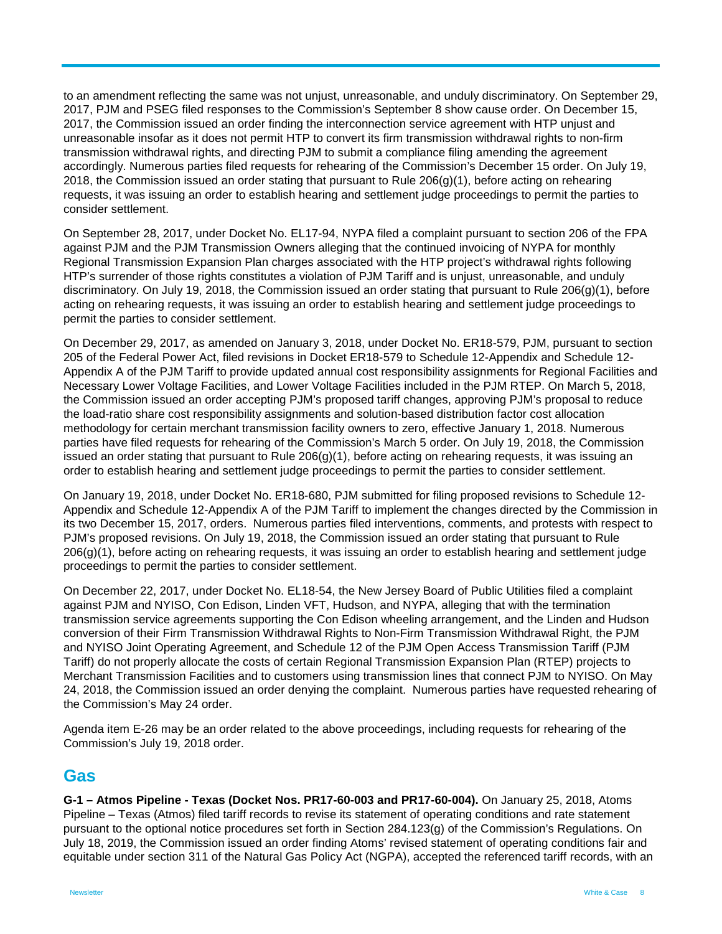to an amendment reflecting the same was not unjust, unreasonable, and unduly discriminatory. On September 29, 2017, PJM and PSEG filed responses to the Commission's September 8 show cause order. On December 15, 2017, the Commission issued an order finding the interconnection service agreement with HTP unjust and unreasonable insofar as it does not permit HTP to convert its firm transmission withdrawal rights to non-firm transmission withdrawal rights, and directing PJM to submit a compliance filing amending the agreement accordingly. Numerous parties filed requests for rehearing of the Commission's December 15 order. On July 19, 2018, the Commission issued an order stating that pursuant to Rule 206(g)(1), before acting on rehearing requests, it was issuing an order to establish hearing and settlement judge proceedings to permit the parties to consider settlement.

On September 28, 2017, under Docket No. EL17-94, NYPA filed a complaint pursuant to section 206 of the FPA against PJM and the PJM Transmission Owners alleging that the continued invoicing of NYPA for monthly Regional Transmission Expansion Plan charges associated with the HTP project's withdrawal rights following HTP's surrender of those rights constitutes a violation of PJM Tariff and is unjust, unreasonable, and unduly discriminatory. On July 19, 2018, the Commission issued an order stating that pursuant to Rule 206(g)(1), before acting on rehearing requests, it was issuing an order to establish hearing and settlement judge proceedings to permit the parties to consider settlement.

On December 29, 2017, as amended on January 3, 2018, under Docket No. ER18-579, PJM, pursuant to section 205 of the Federal Power Act, filed revisions in Docket ER18-579 to Schedule 12-Appendix and Schedule 12- Appendix A of the PJM Tariff to provide updated annual cost responsibility assignments for Regional Facilities and Necessary Lower Voltage Facilities, and Lower Voltage Facilities included in the PJM RTEP. On March 5, 2018, the Commission issued an order accepting PJM's proposed tariff changes, approving PJM's proposal to reduce the load-ratio share cost responsibility assignments and solution-based distribution factor cost allocation methodology for certain merchant transmission facility owners to zero, effective January 1, 2018. Numerous parties have filed requests for rehearing of the Commission's March 5 order. On July 19, 2018, the Commission issued an order stating that pursuant to Rule  $206(q)(1)$ , before acting on rehearing requests, it was issuing an order to establish hearing and settlement judge proceedings to permit the parties to consider settlement.

On January 19, 2018, under Docket No. ER18-680, PJM submitted for filing proposed revisions to Schedule 12- Appendix and Schedule 12-Appendix A of the PJM Tariff to implement the changes directed by the Commission in its two December 15, 2017, orders. Numerous parties filed interventions, comments, and protests with respect to PJM's proposed revisions. On July 19, 2018, the Commission issued an order stating that pursuant to Rule 206(g)(1), before acting on rehearing requests, it was issuing an order to establish hearing and settlement judge proceedings to permit the parties to consider settlement.

On December 22, 2017, under Docket No. EL18-54, the New Jersey Board of Public Utilities filed a complaint against PJM and NYISO, Con Edison, Linden VFT, Hudson, and NYPA, alleging that with the termination transmission service agreements supporting the Con Edison wheeling arrangement, and the Linden and Hudson conversion of their Firm Transmission Withdrawal Rights to Non-Firm Transmission Withdrawal Right, the PJM and NYISO Joint Operating Agreement, and Schedule 12 of the PJM Open Access Transmission Tariff (PJM Tariff) do not properly allocate the costs of certain Regional Transmission Expansion Plan (RTEP) projects to Merchant Transmission Facilities and to customers using transmission lines that connect PJM to NYISO. On May 24, 2018, the Commission issued an order denying the complaint. Numerous parties have requested rehearing of the Commission's May 24 order.

Agenda item E-26 may be an order related to the above proceedings, including requests for rehearing of the Commission's July 19, 2018 order.

## **Gas**

**G-1 – Atmos Pipeline - Texas (Docket Nos. PR17-60-003 and PR17-60-004).** On January 25, 2018, Atoms Pipeline – Texas (Atmos) filed tariff records to revise its statement of operating conditions and rate statement pursuant to the optional notice procedures set forth in Section 284.123(g) of the Commission's Regulations. On July 18, 2019, the Commission issued an order finding Atoms' revised statement of operating conditions fair and equitable under section 311 of the Natural Gas Policy Act (NGPA), accepted the referenced tariff records, with an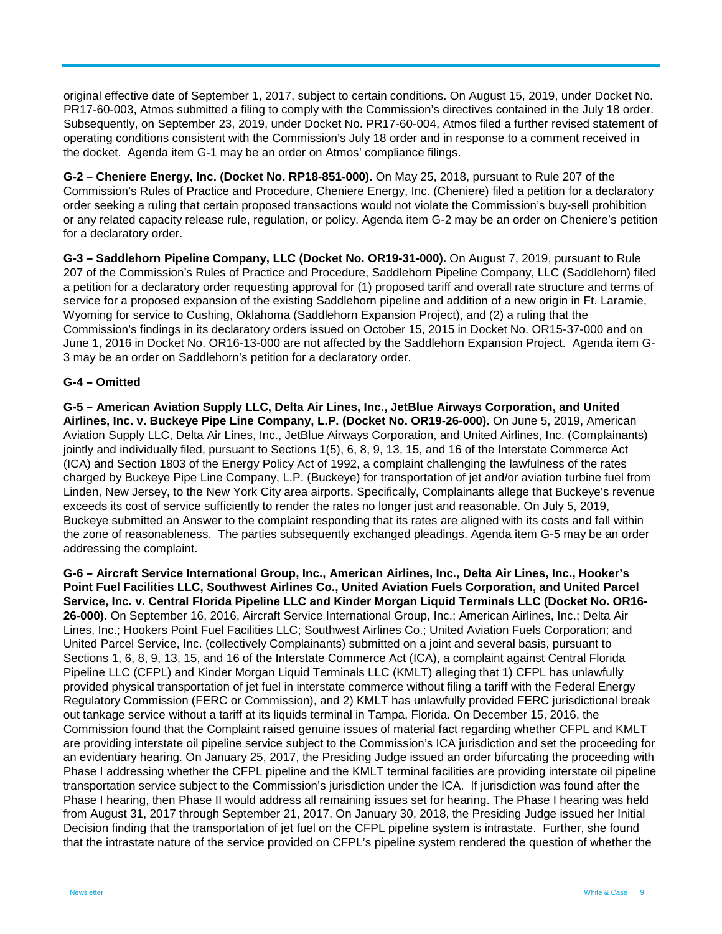original effective date of September 1, 2017, subject to certain conditions. On August 15, 2019, under Docket No. PR17-60-003, Atmos submitted a filing to comply with the Commission's directives contained in the July 18 order. Subsequently, on September 23, 2019, under Docket No. PR17-60-004, Atmos filed a further revised statement of operating conditions consistent with the Commission's July 18 order and in response to a comment received in the docket. Agenda item G-1 may be an order on Atmos' compliance filings.

**G-2 – Cheniere Energy, Inc. (Docket No. RP18-851-000).** On May 25, 2018, pursuant to Rule 207 of the Commission's Rules of Practice and Procedure, Cheniere Energy, Inc. (Cheniere) filed a petition for a declaratory order seeking a ruling that certain proposed transactions would not violate the Commission's buy-sell prohibition or any related capacity release rule, regulation, or policy. Agenda item G-2 may be an order on Cheniere's petition for a declaratory order.

**G-3 – Saddlehorn Pipeline Company, LLC (Docket No. OR19-31-000).** On August 7, 2019, pursuant to Rule 207 of the Commission's Rules of Practice and Procedure, Saddlehorn Pipeline Company, LLC (Saddlehorn) filed a petition for a declaratory order requesting approval for (1) proposed tariff and overall rate structure and terms of service for a proposed expansion of the existing Saddlehorn pipeline and addition of a new origin in Ft. Laramie, Wyoming for service to Cushing, Oklahoma (Saddlehorn Expansion Project), and (2) a ruling that the Commission's findings in its declaratory orders issued on October 15, 2015 in Docket No. OR15-37-000 and on June 1, 2016 in Docket No. OR16-13-000 are not affected by the Saddlehorn Expansion Project. Agenda item G-3 may be an order on Saddlehorn's petition for a declaratory order.

#### **G-4 – Omitted**

**G-5 – American Aviation Supply LLC, Delta Air Lines, Inc., JetBlue Airways Corporation, and United Airlines, Inc. v. Buckeye Pipe Line Company, L.P. (Docket No. OR19-26-000).** On June 5, 2019, American Aviation Supply LLC, Delta Air Lines, Inc., JetBlue Airways Corporation, and United Airlines, Inc. (Complainants) jointly and individually filed, pursuant to Sections 1(5), 6, 8, 9, 13, 15, and 16 of the Interstate Commerce Act (ICA) and Section 1803 of the Energy Policy Act of 1992, a complaint challenging the lawfulness of the rates charged by Buckeye Pipe Line Company, L.P. (Buckeye) for transportation of jet and/or aviation turbine fuel from Linden, New Jersey, to the New York City area airports. Specifically, Complainants allege that Buckeye's revenue exceeds its cost of service sufficiently to render the rates no longer just and reasonable. On July 5, 2019, Buckeye submitted an Answer to the complaint responding that its rates are aligned with its costs and fall within the zone of reasonableness. The parties subsequently exchanged pleadings. Agenda item G-5 may be an order addressing the complaint.

**G-6 – Aircraft Service International Group, Inc., American Airlines, Inc., Delta Air Lines, Inc., Hooker's Point Fuel Facilities LLC, Southwest Airlines Co., United Aviation Fuels Corporation, and United Parcel Service, Inc. v. Central Florida Pipeline LLC and Kinder Morgan Liquid Terminals LLC (Docket No. OR16- 26-000).** On September 16, 2016, Aircraft Service International Group, Inc.; American Airlines, Inc.; Delta Air Lines, Inc.; Hookers Point Fuel Facilities LLC; Southwest Airlines Co.; United Aviation Fuels Corporation; and United Parcel Service, Inc. (collectively Complainants) submitted on a joint and several basis, pursuant to Sections 1, 6, 8, 9, 13, 15, and 16 of the Interstate Commerce Act (ICA), a complaint against Central Florida Pipeline LLC (CFPL) and Kinder Morgan Liquid Terminals LLC (KMLT) alleging that 1) CFPL has unlawfully provided physical transportation of jet fuel in interstate commerce without filing a tariff with the Federal Energy Regulatory Commission (FERC or Commission), and 2) KMLT has unlawfully provided FERC jurisdictional break out tankage service without a tariff at its liquids terminal in Tampa, Florida. On December 15, 2016, the Commission found that the Complaint raised genuine issues of material fact regarding whether CFPL and KMLT are providing interstate oil pipeline service subject to the Commission's ICA jurisdiction and set the proceeding for an evidentiary hearing. On January 25, 2017, the Presiding Judge issued an order bifurcating the proceeding with Phase I addressing whether the CFPL pipeline and the KMLT terminal facilities are providing interstate oil pipeline transportation service subject to the Commission's jurisdiction under the ICA. If jurisdiction was found after the Phase I hearing, then Phase II would address all remaining issues set for hearing. The Phase I hearing was held from August 31, 2017 through September 21, 2017. On January 30, 2018, the Presiding Judge issued her Initial Decision finding that the transportation of jet fuel on the CFPL pipeline system is intrastate. Further, she found that the intrastate nature of the service provided on CFPL's pipeline system rendered the question of whether the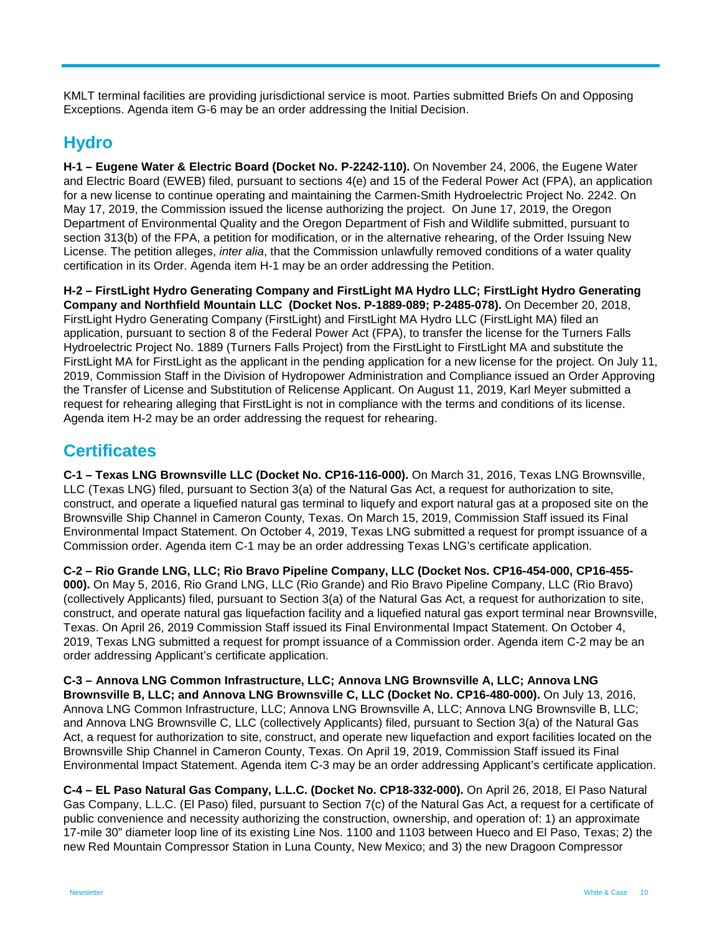KMLT terminal facilities are providing jurisdictional service is moot. Parties submitted Briefs On and Opposing Exceptions. Agenda item G-6 may be an order addressing the Initial Decision.

# **Hydro**

**H-1 – Eugene Water & Electric Board (Docket No. P-2242-110).** On November 24, 2006, the Eugene Water and Electric Board (EWEB) filed, pursuant to sections 4(e) and 15 of the Federal Power Act (FPA), an application for a new license to continue operating and maintaining the Carmen-Smith Hydroelectric Project No. 2242. On May 17, 2019, the Commission issued the license authorizing the project. On June 17, 2019, the Oregon Department of Environmental Quality and the Oregon Department of Fish and Wildlife submitted, pursuant to section 313(b) of the FPA, a petition for modification, or in the alternative rehearing, of the Order Issuing New License. The petition alleges, *inter alia*, that the Commission unlawfully removed conditions of a water quality certification in its Order. Agenda item H-1 may be an order addressing the Petition.

**H-2 – FirstLight Hydro Generating Company and FirstLight MA Hydro LLC; FirstLight Hydro Generating Company and Northfield Mountain LLC (Docket Nos. P-1889-089; P-2485-078).** On December 20, 2018, FirstLight Hydro Generating Company (FirstLight) and FirstLight MA Hydro LLC (FirstLight MA) filed an application, pursuant to section 8 of the Federal Power Act (FPA), to transfer the license for the Turners Falls Hydroelectric Project No. 1889 (Turners Falls Project) from the FirstLight to FirstLight MA and substitute the FirstLight MA for FirstLight as the applicant in the pending application for a new license for the project. On July 11, 2019, Commission Staff in the Division of Hydropower Administration and Compliance issued an Order Approving the Transfer of License and Substitution of Relicense Applicant. On August 11, 2019, Karl Meyer submitted a request for rehearing alleging that FirstLight is not in compliance with the terms and conditions of its license. Agenda item H-2 may be an order addressing the request for rehearing.

# **Certificates**

**C-1 – Texas LNG Brownsville LLC (Docket No. CP16-116-000).** On March 31, 2016, Texas LNG Brownsville, LLC (Texas LNG) filed, pursuant to Section 3(a) of the Natural Gas Act, a request for authorization to site, construct, and operate a liquefied natural gas terminal to liquefy and export natural gas at a proposed site on the Brownsville Ship Channel in Cameron County, Texas. On March 15, 2019, Commission Staff issued its Final Environmental Impact Statement. On October 4, 2019, Texas LNG submitted a request for prompt issuance of a Commission order. Agenda item C-1 may be an order addressing Texas LNG's certificate application.

**C-2 – Rio Grande LNG, LLC; Rio Bravo Pipeline Company, LLC (Docket Nos. CP16-454-000, CP16-455- 000).** On May 5, 2016, Rio Grand LNG, LLC (Rio Grande) and Rio Bravo Pipeline Company, LLC (Rio Bravo) (collectively Applicants) filed, pursuant to Section 3(a) of the Natural Gas Act, a request for authorization to site, construct, and operate natural gas liquefaction facility and a liquefied natural gas export terminal near Brownsville, Texas. On April 26, 2019 Commission Staff issued its Final Environmental Impact Statement. On October 4, 2019, Texas LNG submitted a request for prompt issuance of a Commission order. Agenda item C-2 may be an order addressing Applicant's certificate application.

**C-3 – Annova LNG Common Infrastructure, LLC; Annova LNG Brownsville A, LLC; Annova LNG Brownsville B, LLC; and Annova LNG Brownsville C, LLC (Docket No. CP16-480-000).** On July 13, 2016, Annova LNG Common Infrastructure, LLC; Annova LNG Brownsville A, LLC; Annova LNG Brownsville B, LLC; and Annova LNG Brownsville C, LLC (collectively Applicants) filed, pursuant to Section 3(a) of the Natural Gas Act, a request for authorization to site, construct, and operate new liquefaction and export facilities located on the Brownsville Ship Channel in Cameron County, Texas. On April 19, 2019, Commission Staff issued its Final Environmental Impact Statement. Agenda item C-3 may be an order addressing Applicant's certificate application.

**C-4 – EL Paso Natural Gas Company, L.L.C. (Docket No. CP18-332-000).** On April 26, 2018, El Paso Natural Gas Company, L.L.C. (El Paso) filed, pursuant to Section 7(c) of the Natural Gas Act, a request for a certificate of public convenience and necessity authorizing the construction, ownership, and operation of: 1) an approximate 17-mile 30" diameter loop line of its existing Line Nos. 1100 and 1103 between Hueco and El Paso, Texas; 2) the new Red Mountain Compressor Station in Luna County, New Mexico; and 3) the new Dragoon Compressor